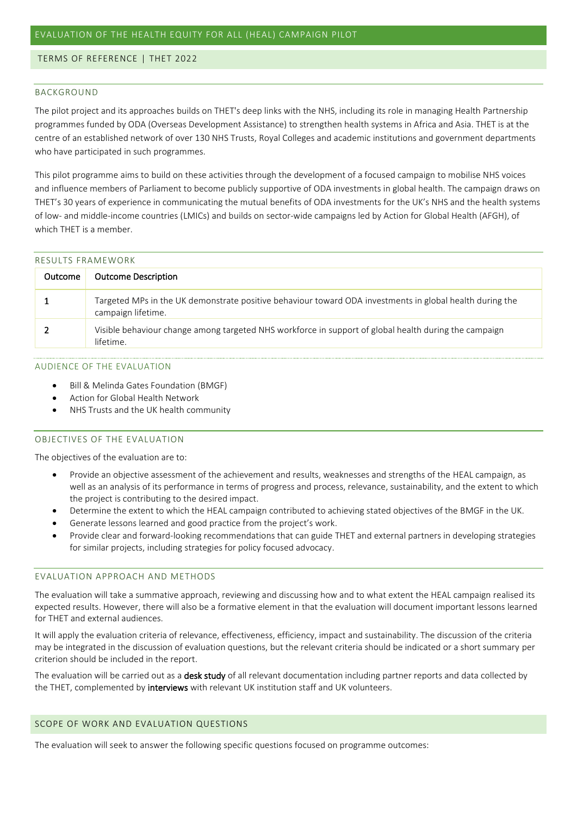#### TERMS OF REFERENCE | THET 2022

#### BACKGROUND

The pilot project and its approaches builds on THET's deep links with the NHS, including its role in managing Health Partnership programmes funded by ODA (Overseas Development Assistance) to strengthen health systems in Africa and Asia. THET is at the centre of an established network of over 130 NHS Trusts, Royal Colleges and academic institutions and government departments who have participated in such programmes.

This pilot programme aims to build on these activities through the development of a focused campaign to mobilise NHS voices and influence members of Parliament to become publicly supportive of ODA investments in global health. The campaign draws on THET's 30 years of experience in communicating the mutual benefits of ODA investments for the UK's NHS and the health systems of low- and middle-income countries (LMICs) and builds on sector-wide campaigns led by Action for Global Health (AFGH), of which THET is a member.

| RESULTS FRAMEWORK |                                                                                                                                |
|-------------------|--------------------------------------------------------------------------------------------------------------------------------|
| Outcome           | <b>Outcome Description</b>                                                                                                     |
|                   | Targeted MPs in the UK demonstrate positive behaviour toward ODA investments in global health during the<br>campaign lifetime. |
|                   | Visible behaviour change among targeted NHS workforce in support of global health during the campaign<br>lifetime.             |

#### AUDIENCE OF THE EVALUATION

- Bill & Melinda Gates Foundation (BMGF)
- Action for Global Health Network
- NHS Trusts and the UK health community

#### OBJECTIVES OF THE EVALUATION

The objectives of the evaluation are to:

- Provide an objective assessment of the achievement and results, weaknesses and strengths of the HEAL campaign, as well as an analysis of its performance in terms of progress and process, relevance, sustainability, and the extent to which the project is contributing to the desired impact.
- Determine the extent to which the HEAL campaign contributed to achieving stated objectives of the BMGF in the UK.
- Generate lessons learned and good practice from the project's work.
- Provide clear and forward-looking recommendations that can guide THET and external partners in developing strategies for similar projects, including strategies for policy focused advocacy.

#### EVALUATION APPROACH AND METHODS

The evaluation will take a summative approach, reviewing and discussing how and to what extent the HEAL campaign realised its expected results. However, there will also be a formative element in that the evaluation will document important lessons learned for THET and external audiences.

It will apply the evaluation criteria of relevance, effectiveness, efficiency, impact and sustainability. The discussion of the criteria may be integrated in the discussion of evaluation questions, but the relevant criteria should be indicated or a short summary per criterion should be included in the report.

The evaluation will be carried out as a desk study of all relevant documentation including partner reports and data collected by the THET, complemented by interviews with relevant UK institution staff and UK volunteers.

#### SCOPE OF WORK AND EVALUATION QUESTIONS

The evaluation will seek to answer the following specific questions focused on programme outcomes: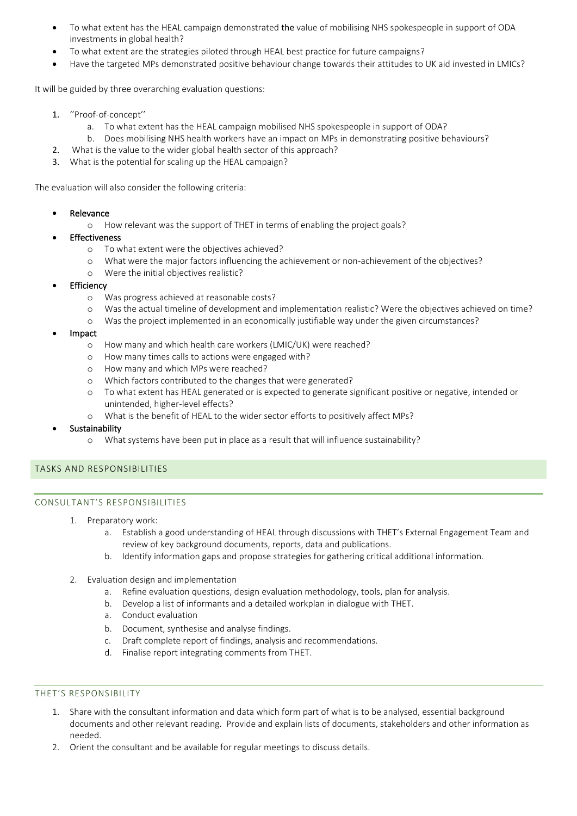- To what extent has the HEAL campaign demonstrated the value of mobilising NHS spokespeople in support of ODA investments in global health?
- To what extent are the strategies piloted through HEAL best practice for future campaigns?
- Have the targeted MPs demonstrated positive behaviour change towards their attitudes to UK aid invested in LMICs?

It will be guided by three overarching evaluation questions:

- 1. ''Proof-of-concept''
	- a. To what extent has the HEAL campaign mobilised NHS spokespeople in support of ODA?
	- b. Does mobilising NHS health workers have an impact on MPs in demonstrating positive behaviours?
- 2. What is the value to the wider global health sector of this approach?
- 3. What is the potential for scaling up the HEAL campaign?

The evaluation will also consider the following criteria:

- **Relevance** 
	- o How relevant was the support of THET in terms of enabling the project goals?
- **Effectiveness** 
	- o To what extent were the objectives achieved?
	- o What were the major factors influencing the achievement or non-achievement of the objectives?
	- o Were the initial objectives realistic?
- **Efficiency** 
	- o Was progress achieved at reasonable costs?
	- o Was the actual timeline of development and implementation realistic? Were the objectives achieved on time?
	- o Was the project implemented in an economically justifiable way under the given circumstances?
- Impact
	- o How many and which health care workers (LMIC/UK) were reached?
	- o How many times calls to actions were engaged with?
	- o How many and which MPs were reached?
	- o Which factors contributed to the changes that were generated?
	- o To what extent has HEAL generated or is expected to generate significant positive or negative, intended or unintended, higher-level effects?
	- o What is the benefit of HEAL to the wider sector efforts to positively affect MPs?
- **Sustainability** 
	- o What systems have been put in place as a result that will influence sustainability?

# TASKS AND RESPONSIBILITIES

# CONSULTANT'S RESPONSIBILITIES

- 1. Preparatory work:
	- a. Establish a good understanding of HEAL through discussions with THET's External Engagement Team and review of key background documents, reports, data and publications.
	- b. Identify information gaps and propose strategies for gathering critical additional information.
- 2. Evaluation design and implementation
	- a. Refine evaluation questions, design evaluation methodology, tools, plan for analysis.
	- b. Develop a list of informants and a detailed workplan in dialogue with THET.
	- a. Conduct evaluation
	- b. Document, synthesise and analyse findings.
	- c. Draft complete report of findings, analysis and recommendations.
	- d. Finalise report integrating comments from THET.

# THET'S RESPONSIBILITY

- 1. Share with the consultant information and data which form part of what is to be analysed, essential background documents and other relevant reading. Provide and explain lists of documents, stakeholders and other information as needed.
- 2. Orient the consultant and be available for regular meetings to discuss details.